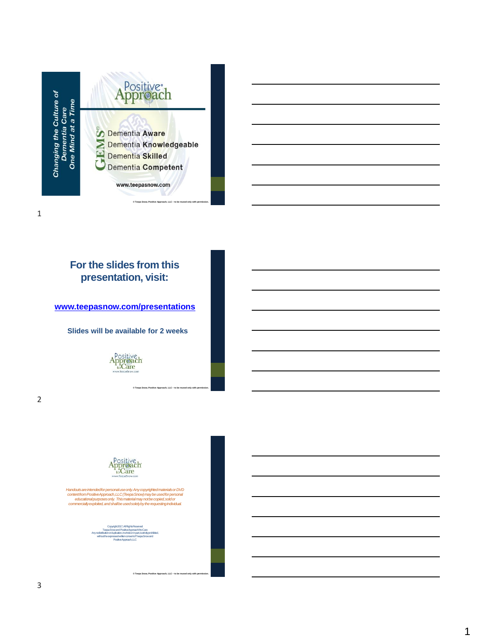

### **For the slides from this presentation, visit:**

**[www.teepasnow.com/presentations](http://www.teepasnow.com/presentations)**

**Slides will be available for 2 weeks**



**© Teepa Snow, Positive Approach, LLC – to be reused only with permission.**

2

1



Handouts are intended for personal use only. Any copyrighted materials or DVD<br>contentriorn Positive Approach, LLC (Trepa Snow) may be used for personal<br>educational purposes only. This material may not be copied, sold or<br>co

Copyright 2017, All Rights Reserved Teepa Snow and Positive Approach® to Care Any redistribution or duplication, in whole or in part, is strictly prohibited, without the expressed written consent of Teepa Snow and Positive Approach, LLC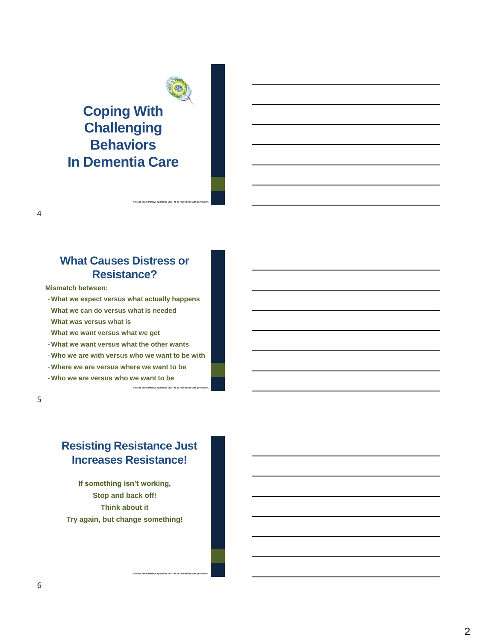# **Coping With Challenging Behaviors In Dementia Care**

### **What Causes Distress or Resistance?**

**© Teepa Snow, Positive Approach, LLC – to be reused only with permission.**

**Mismatch between:**

- -**What we expect versus what actually happens**
- -**What we can do versus what is needed**
- -**What was versus what is**
- -**What we want versus what we get**
- -**What we want versus what the other wants**
- -**Who we are with versus who we want to be with**

**© Teepa Snow, Positive Approach, LLC – to be reused only with permission.**

- -**Where we are versus where we want to be**
- -**Who we are versus who we want to be**

5

4

# **Resisting Resistance Just Increases Resistance!**

**If something isn't working, Stop and back off! Think about it Try again, but change something!**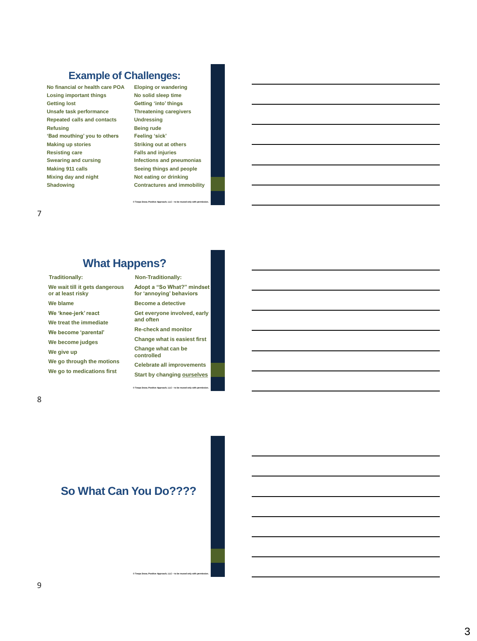### **Example of Challenges:**

**No financial or health care POA Losing important things Getting lost Unsafe task performance Repeated calls and contacts Refusing 'Bad mouthing' you to others Making up stories Resisting care Swearing and cursing Making 911 calls Mixing day and night Shadowing**

**Eloping or wandering No solid sleep time Getting 'into' things Threatening caregivers Undressing Being rude Feeling 'sick' Striking out at others Falls and injuries Infections and pneumonias Seeing things and people Not eating or drinking Contractures and immobility**

**© Teepa Snow, Positive Approach, LLC – to be reused only with permission.**

## **What Happens?**

**Traditionally:**

**We wait till it gets dangerous or at least risky We blame We 'knee-jerk' react We treat the immediate We become 'parental' We become judges We give up We go through the motions We go to medications first** 

#### **Non-Traditionally:**

**Adopt a "So What?" mindset for 'annoying' behaviors Become a detective Get everyone involved, early and often Re-check and monitor Change what is easiest first Change what can be controlled Celebrate all improvements Start by changing ourselves**

**© Teepa Snow, Positive Approach, LLC – to be reused only with permission.**

8

7

### **So What Can You Do????**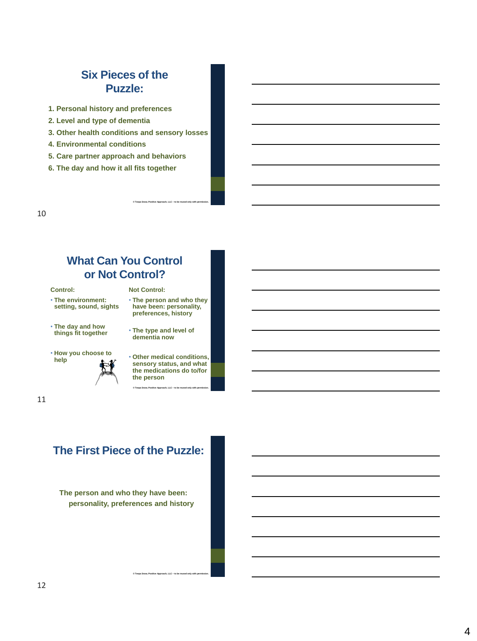### **Six Pieces of the Puzzle:**

- **1. Personal history and preferences**
- **2. Level and type of dementia**
- **3. Other health conditions and sensory losses**
- **4. Environmental conditions**
- **5. Care partner approach and behaviors**
- **6. The day and how it all fits together**

10

### **What Can You Control or Not Control?**

**Control:**

- **The environment: setting, sound, sights**
- **The day and how things fit together**
- **How you choose to help**



• **The type and level of dementia now**

• **The person and who they have been: personality, preferences, history**

**Not Control:**

**© Teepa Snow, Positive Approach, LLC – to be reused only with permission.**

• **Other medical conditions, sensory status, and what the medications do to/for the person**

**© Teepa Snow, Positive Approach, LLC – to be reused only with permission.**

11

# **The First Piece of the Puzzle:**

**The person and who they have been: personality, preferences and history**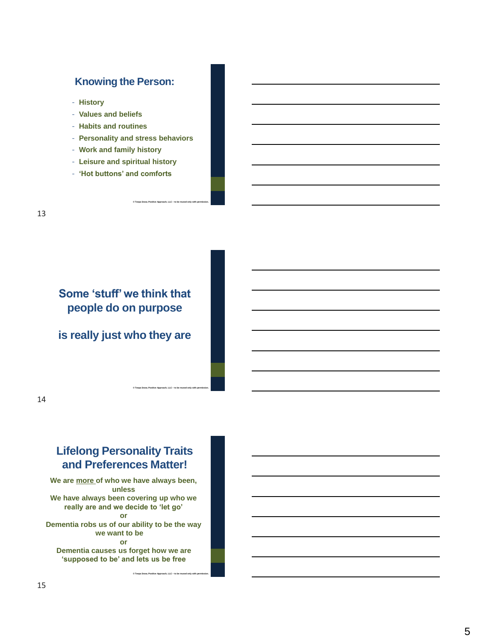### **Knowing the Person:**

- **History**
- **Values and beliefs**
- **Habits and routines**
- **Personality and stress behaviors**

**© Teepa Snow, Positive Approach, LLC – to be reused only with permission.**

**© Teepa Snow, Positive Approach, LLC – to be reused only with permission.**

- **Work and family history**
- **Leisure and spiritual history**
- **'Hot buttons' and comforts**

# **Some 'stuff' we think that people do on purpose**

**is really just who they are**

### 14

# **Lifelong Personality Traits and Preferences Matter!**

**We are more of who we have always been, unless We have always been covering up who we really are and we decide to 'let go' or Dementia robs us of our ability to be the way we want to be or**

**Dementia causes us forget how we are 'supposed to be' and lets us be free**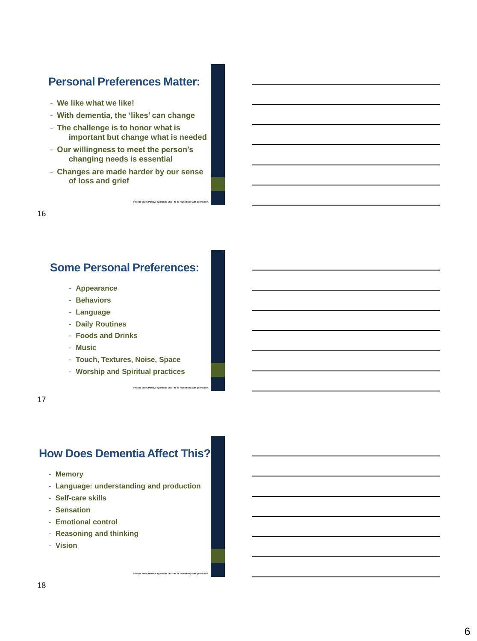### **Personal Preferences Matter:**

- **We like what we like!**
- **With dementia, the 'likes' can change**
- **The challenge is to honor what is important but change what is needed**
- **Our willingness to meet the person's changing needs is essential**
- **Changes are made harder by our sense of loss and grief**

**© Teepa Snow, Positive Approach, LLC – to be reused only with permission.**

**© Teepa Snow, Positive Approach, LLC – to be reused only with permission.**

16

### **Some Personal Preferences:**

- **Appearance**
- **Behaviors**
- **Language**
- **Daily Routines**
- **Foods and Drinks**
- **Music**
- **Touch, Textures, Noise, Space**
- **Worship and Spiritual practices**

17

# **How Does Dementia Affect This?**

- **Memory**
- **Language: understanding and production**

- **Self-care skills**
- **Sensation**
- **Emotional control**
- **Reasoning and thinking**
- **Vision**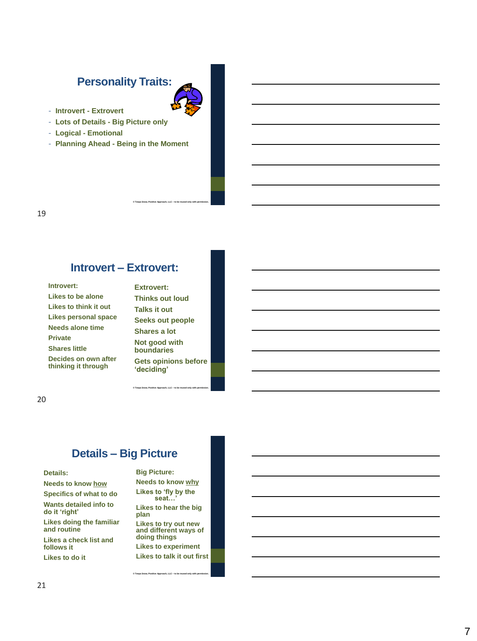### **Personality Traits:**

- **Introvert - Extrovert**
- **Lots of Details - Big Picture only**
- **Logical - Emotional**
- **Planning Ahead - Being in the Moment**

### **Introvert – Extrovert:**

| Introvert:                                  |
|---------------------------------------------|
| Likes to be alone                           |
| Likes to think it out                       |
| Likes personal space                        |
| Needs alone time                            |
| <b>Private</b>                              |
| <b>Shares little</b>                        |
| Decides on own after<br>thinking it through |

**Extrovert: Thinks out loud Talks it out Seeks out people Shares a lot Not good with boundaries Gets opinions before 'deciding'**

**– to be reused only with permission.**

**© Teepa Snow, Positive Approach, LLC** 

**– to be reused only with permission.**

20

### **Details – Big Picture**

#### **Details:**

**Needs to know how Specifics of what to do Wants detailed info to do it 'right' Likes doing the familiar and routine Likes a check list and follows it Likes to do it**

#### **Big Picture:**

**© Teepa Snow, Positive Approach, LLC** 

**Needs to know why Likes to 'fly by the seat…'**

**Likes to hear the big plan**

**Likes to try out new and different ways of doing things Likes to experiment**

**Likes to talk it out first**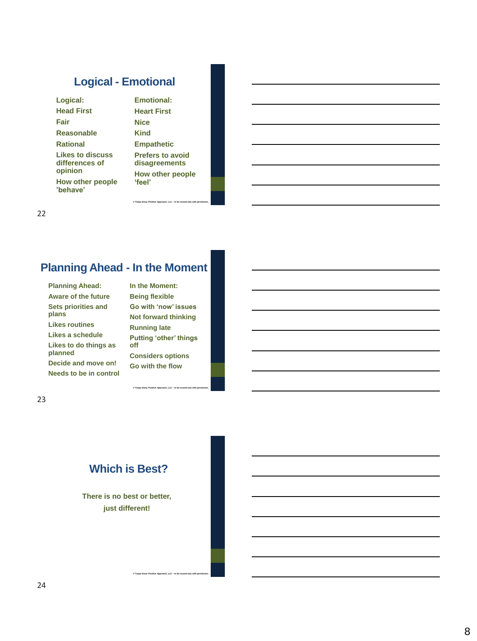# **Logical - Emotional**

| Logical:                                      |
|-----------------------------------------------|
| <b>Head First</b>                             |
| Fair                                          |
| <b>Reasonable</b>                             |
| <b>Rational</b>                               |
| Likes to discuss<br>differences of<br>opinion |
| How other people<br>'behave'                  |

**Emotional: Heart First Nice Kind Empathetic Prefers to avoid disagreements How other people 'feel'**

**© Teepa Snow, Positive Approach, LLC – to be reused only with permission.**

22

# **Planning Ahead - In the Moment**

**Planning Ahead: Aware of the future Sets priorities and plans Likes routines Likes a schedule Likes to do things as planned Decide and move on!**

**Needs to be in control**

**In the Moment: Being flexible Go with 'now' issues Not forward thinking Running late Putting 'other' things off**

**Considers options Go with the flow**

**© Teepa Snow, Positive Approach, LLC – to be reused only with permission.**

**© Teepa Snow, Positive Approach, LLC – to be reused only with permission.**

23

# **Which is Best?**

**There is no best or better, just different!**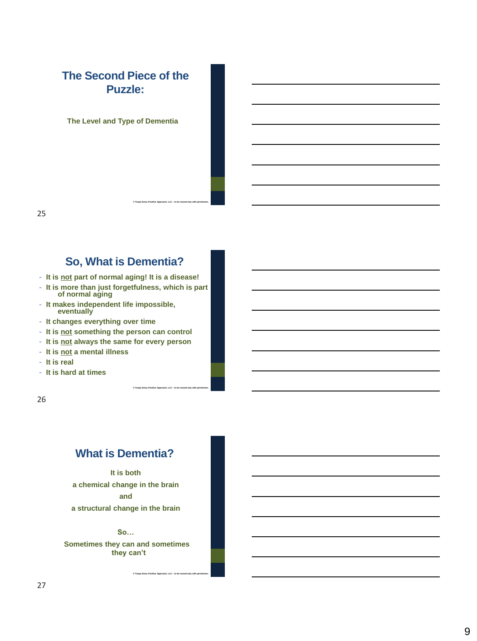# **The Second Piece of the Puzzle:**

**The Level and Type of Dementia**

25

### **So, What is Dementia?**

**© Teepa Snow, Positive Approach, LLC – to be reused only with permission.**

**© Teepa Snow, Positive Approach, LLC – to be reused only with permission.**

- **It is not part of normal aging! It is a disease!**
- **It is more than just forgetfulness, which is part of normal aging**
- **It makes independent life impossible, eventually**
- **It changes everything over time**
- **It is not something the person can control**
- **It is not always the same for every person**
- **It is not a mental illness**
- **It is real**
- **It is hard at times**

26

# **What is Dementia?**

**It is both a chemical change in the brain and a structural change in the brain**

### **So…**

**Sometimes they can and sometimes they can't**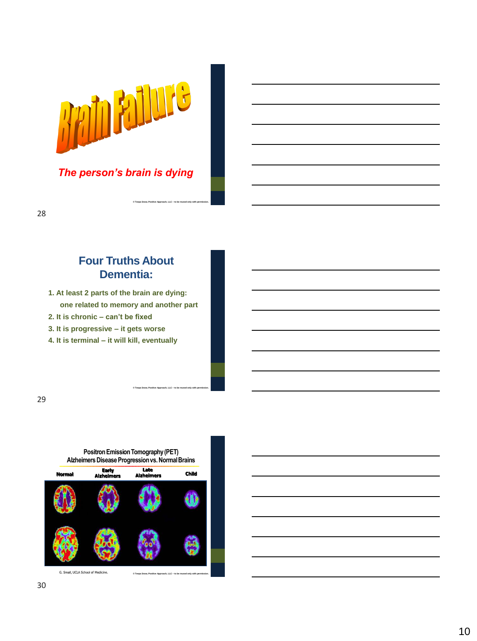

*The person's brain is dying*

**© Teepa Snow, Positive Approach, LLC – to be reused only with permission.**

**© Teepa Snow, Positive Approach, LLC – to be reused only with permission.**

#### 28

### **Four Truths About Dementia:**

- **1. At least 2 parts of the brain are dying: one related to memory and another part**
- **2. It is chronic – can't be fixed**
- **3. It is progressive – it gets worse**
- **4. It is terminal – it will kill, eventually**

29



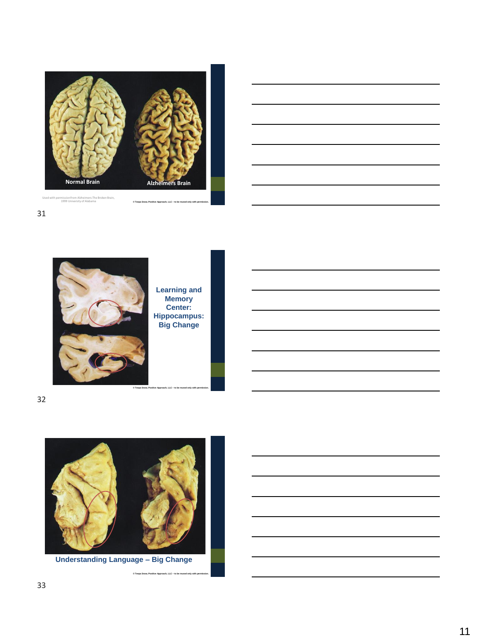



31



**Learning and Memory Center: Hippocampus: Big Change**

**© Teepa Snow, Positive Approach, LLC – to be reused only with permission.**

**© Teepa Snow, Positive Approach, LLC – to be reused only with permission.**

32



**Understanding Language – Big Change**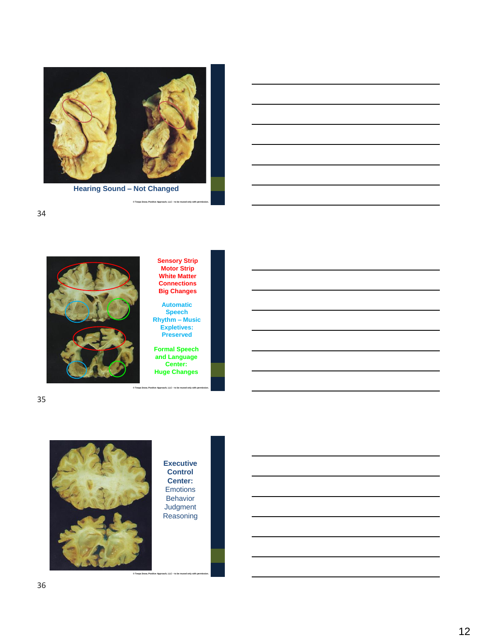

**Hearing Sound – Not Changed**

 $\odot$  Teepa S



**Sensory Strip Motor Strip White Matter Connections Big Changes**

**Automatic Speech Rhythm – Music Expletives: Preserved**

**Formal Speech and Language Center: Huge Changes**





**Executive Control Center:** Emotions Behavior **Judgment** Reasoning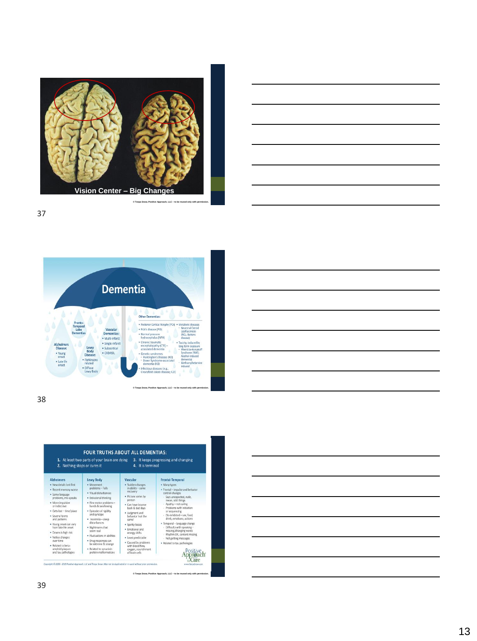









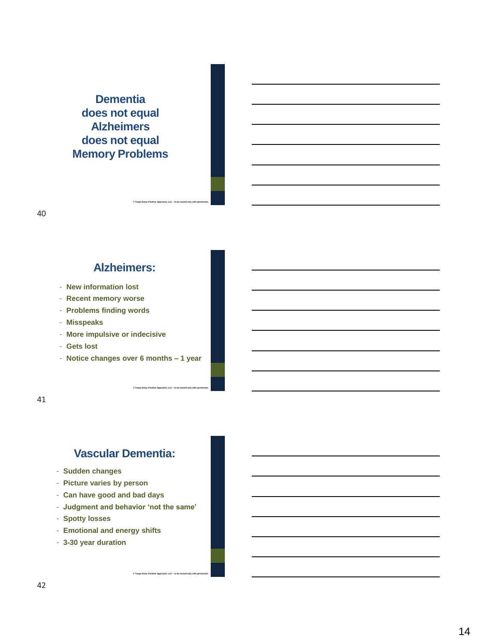# **Dementia does not equal Alzheimers does not equal Memory Problems**

### **Alzheimers:**

**© Teepa Snow, Positive Approach, LLC – to be reused only with permission.**

**© Teepa Snow, Positive Approach, LLC – to be reused only with permission.**

- **New information lost**
- **Recent memory worse**
- **Problems finding words**
- **Misspeaks**
- **More impulsive or indecisive**
- **Gets lost**
- **Notice changes over 6 months – 1 year**

41

## **Vascular Dementia:**

- **Sudden changes**
- **Picture varies by person**
- **Can have good and bad days**
- **Judgment and behavior 'not the same'**

- **Spotty losses**
- **Emotional and energy shifts**
- **3-30 year duration**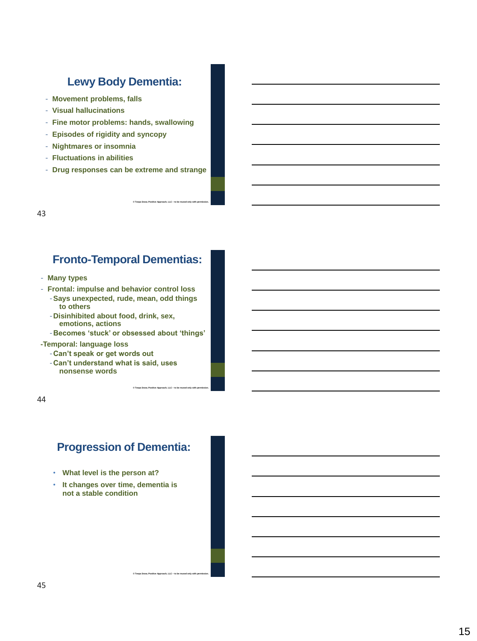### **Lewy Body Dementia:**

- **Movement problems, falls**
- **Visual hallucinations**
- **Fine motor problems: hands, swallowing**
- **Episodes of rigidity and syncopy**
- **Nightmares or insomnia**
- **Fluctuations in abilities**
- **Drug responses can be extreme and strange**

**© Teepa Snow, Positive Approach, LLC – to be reused only with permission.**

**© Teepa Snow, Positive Approach, LLC – to be reused only with permission.**

**© Teepa Snow, Positive Approach, LLC – to be reused only with permission.**

43

### **Fronto-Temporal Dementias:**

- **Many types**
- **Frontal: impulse and behavior control loss**
	- -**Says unexpected, rude, mean, odd things to others**
	- -**Disinhibited about food, drink, sex, emotions, actions**

-**Becomes 'stuck' or obsessed about 'things'**

- **-Temporal: language loss**
	- -**Can't speak or get words out**
	- -**Can't understand what is said, uses nonsense words**

44

### **Progression of Dementia:**

- **What level is the person at?**
- **It changes over time, dementia is not a stable condition**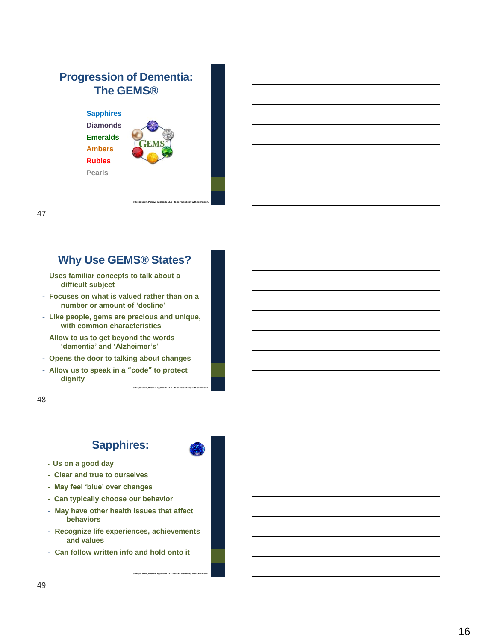# **Progression of Dementia: The GEMS®**

**Sapphires Diamonds Emeralds Ambers Rubies Pearls**



**© Teepa Snow, Positive Approach, LLC** 

**© Teepa Snow, Positive Approach, LLC** 

**– to be reused only with permission.**

### 47

## **Why Use GEMS® States?**

- **Uses familiar concepts to talk about a difficult subject**
- **Focuses on what is valued rather than on a number or amount of 'decline'**
- **Like people, gems are precious and unique, with common characteristics**
- **Allow to us to get beyond the words 'dementia' and 'Alzheimer's'**
- **Opens the door to talking about changes**
- **Allow us to speak in a** "**code**" **to protect dignity**

48

# **Sapphires:**

- **- Us on a good day**
- **- Clear and true to ourselves**
- **- May feel 'blue' over changes**
- **- Can typically choose our behavior**
- **May have other health issues that affect behaviors**
- **Recognize life experiences, achievements and values**
- **Can follow written info and hold onto it**

**© Teepa Snow, Positive Approach, LLC – to be reused only with permission.**

**– to be reused only with permission.**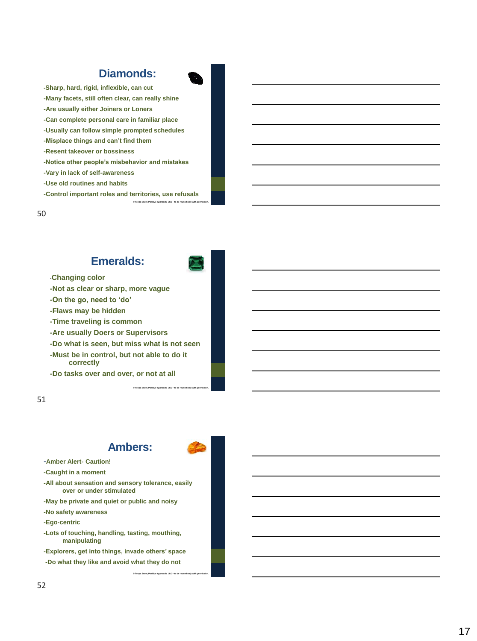### **Diamonds:**

**-Sharp, hard, rigid, inflexible, can cut -Many facets, still often clear, can really shine -Are usually either Joiners or Loners -Can complete personal care in familiar place -Usually can follow simple prompted schedules -Misplace things and can't find them -Resent takeover or bossiness -Notice other people's misbehavior and mistakes -Vary in lack of self-awareness -Use old routines and habits -Control important roles and territories, use refusals**

**© Teepa Snow, Positive Approach, LLC** 

#### 50

### **Emeralds:**



**– to be reused only with permission.**

**– to be reused only with permission.**

-**Changing color**

**-Not as clear or sharp, more vague**

**-On the go, need to 'do'**

**-Flaws may be hidden**

**-Time traveling is common**

**-Are usually Doers or Supervisors**

**-Do what is seen, but miss what is not seen**

**-Must be in control, but not able to do it correctly**

**-Do tasks over and over, or not at all**

#### 51

### **Ambers:**

**© Teepa Snow, Positive Approach, LLC** 

**© Teepa Snow, Positive Approach, LLC – to be reused only with permission.**

-**Amber Alert - Caution!**

**-Caught in a moment**

**-All about sensation and sensory tolerance, easily over or under stimulated**

**-May be private and quiet or public and noisy**

**-No safety awareness**

**-Ego-centric**

**-Lots of touching, handling, tasting, mouthing, manipulating** 

**-Explorers, get into things, invade others' space**

**-Do what they like and avoid what they do not**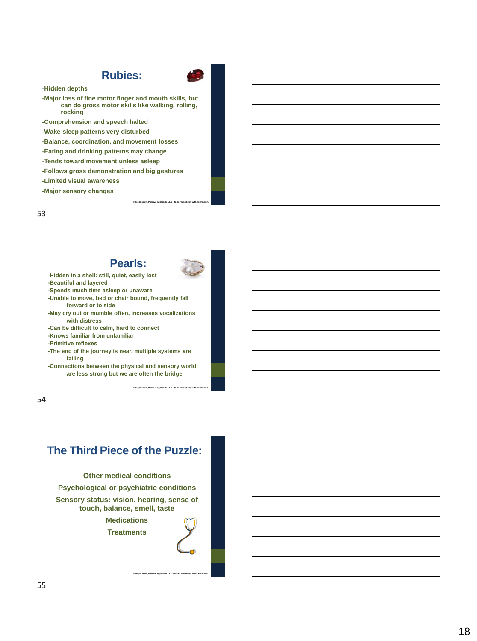### **Rubies:**



-**Hidden depths**

**-Major loss of fine motor finger and mouth skills, but can do gross motor skills like walking, rolling, rocking** 

- **-Comprehension and speech halted**
- **-Wake-sleep patterns very disturbed**
- **-Balance, coordination, and movement losses**
- **-Eating and drinking patterns may change**
- **-Tends toward movement unless asleep**
- **-Follows gross demonstration and big gestures**
- **-Limited visual awareness**
- **-Major sensory changes**

53

### **Pearls:**



**© Teepa Snow, Positive Approach, LLC – to be reused only with permission.**

**© Teepa Snow, Positive Approach, LLC – to be reused only with permission.**

-**Hidden in a shell: still, quiet, easily lost -Beautiful and layered**

- **-Spends much time asleep or unaware**
- **-Unable to move, bed or chair bound, frequently fall forward or to side**
- **-May cry out or mumble often, increases vocalizations with distress**
- **-Can be difficult to calm, hard to connect**
- **-Knows familiar from unfamiliar**
- **-Primitive reflexes**
- **-The end of the journey is near, multiple systems are failing**
- **-Connections between the physical and sensory world are less strong but we are often the bridge**

54

### **The Third Piece of the Puzzle:**

**Other medical conditions Psychological or psychiatric conditions Sensory status: vision, hearing, sense of touch, balance, smell, taste**

**Medications Treatments**

**© Teepa Snow, Positive Approach, LLC – to be reused only with permission.**

### 55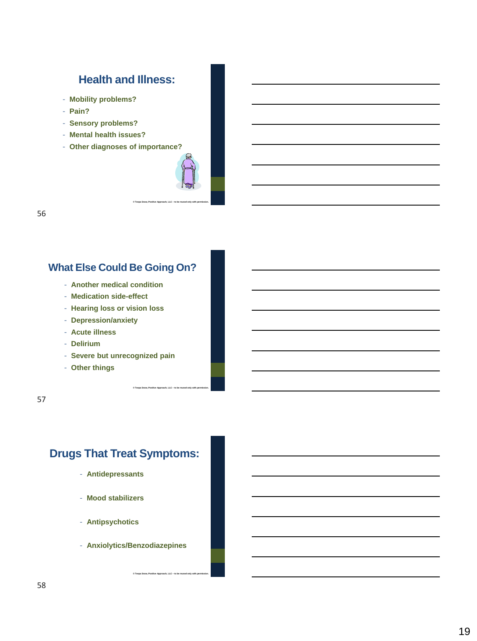### **Health and Illness:**

- **Mobility problems?**
- **Pain?**
- **Sensory problems?**
- **Mental health issues?**
- **Other diagnoses of importance?**



**© Teepa Snow, Positive Approach, LLC – to be reused only with permission.**

56

### **What Else Could Be Going On?**

- **Another medical condition**
- **Medication side-effect**
- **Hearing loss or vision loss**
- **Depression/anxiety**
- **Acute illness**
- **Delirium**
- **Severe but unrecognized pain**
- **Other things**

57

# **Drugs That Treat Symptoms:**

- **Antidepressants**
- **Mood stabilizers**
- **Antipsychotics**
- **Anxiolytics/Benzodiazepines**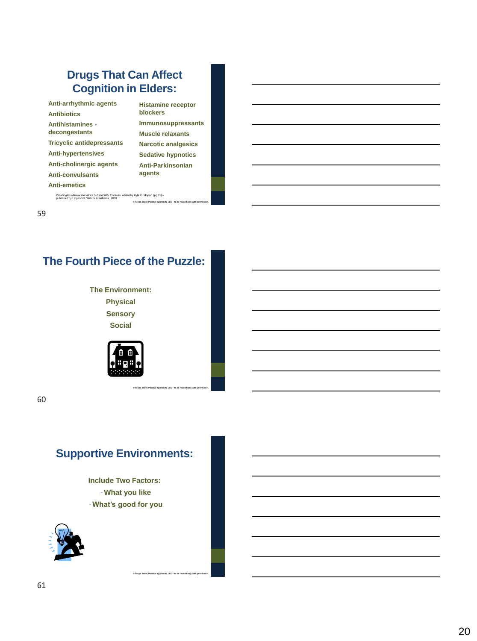# **Drugs That Can Affect Cognition in Elders:**

| Anti-arrhythmic agents<br><b>Antibiotics</b> | <b>Histamine rec</b><br><b>blockers</b> |
|----------------------------------------------|-----------------------------------------|
| Antihistamines -                             | <b>Immunosuppi</b>                      |
| decongestants                                | Muscle relaxa                           |
| <b>Tricyclic antidepressants</b>             | <b>Narcotic anale</b>                   |
| <b>Anti-hypertensives</b>                    | <b>Sedative hypr</b>                    |
| Anti-cholinergic agents                      | Anti-Parkinso                           |
| <b>Anti-convulsants</b>                      | agents                                  |
| <b>Anti-emetics</b>                          |                                         |
|                                              |                                         |

**Righter ressants Ints Narcotic analgesics Notics nian** 

**© Teepa Snow, Positive Approach, LLC – to be reused only with permission.**

**© Teepa Snow, Positive Approach, LLC – to be reused only with permission.**

**© Teepa Snow, Positive Approach, LLC – to be reused only with permission.**

*Washington Manual Geriatrics Subspecialty Consults* edited by Kyle C. Moylan (pg 15) – published by Lippencott, Wilkins & Williams , 2003

59

# **The Fourth Piece of the Puzzle:**

**The Environment: Physical Sensory Social**



60

# **Supportive Environments:**

**Include Two Factors:** -**What you like** -**What's good for you**

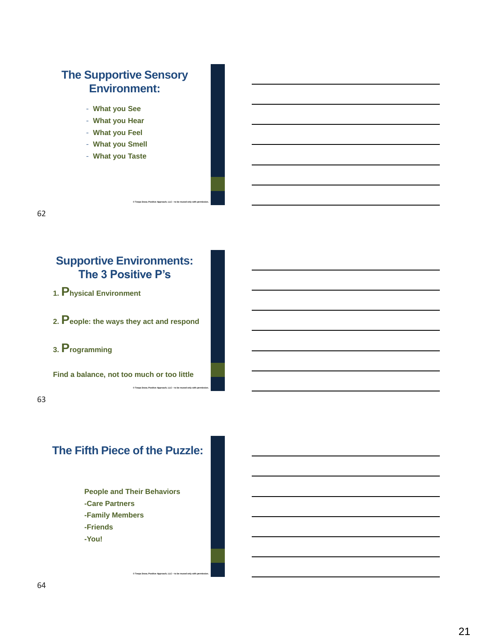# **The Supportive Sensory Environment:**

- **What you See**
- **What you Hear**
- **What you Feel**
- **What you Smell**
- **What you Taste**

62

### **Supportive Environments: The 3 Positive P's**

**© Teepa Snow, Positive Approach, LLC – to be reused only with permission.**

**© Teepa Snow, Positive Approach, LLC – to be reused only with permission.**

**1. Physical Environment**

**2. People: the ways they act and respond**

### **3. Programming**

**Find a balance, not too much or too little**

63

### **The Fifth Piece of the Puzzle:**

**People and Their Behaviors -Care Partners -Family Members -Friends -You!**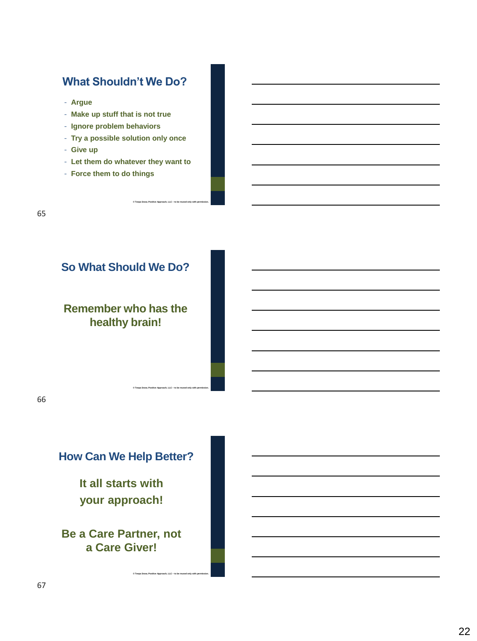### **What Shouldn't We Do?**

- **Argue**
- **Make up stuff that is not true**
- **Ignore problem behaviors**
- **Try a possible solution only once**
- **Give up**
- **Let them do whatever they want to**

**© Teepa Snow, Positive Approach, LLC – to be reused only with permission.**

**© Teepa Snow, Positive Approach, LLC – to be reused only with permission.**

- **Force them to do things**

### **So What Should We Do?**

**Remember who has the healthy brain!**

66

# **How Can We Help Better?**

**It all starts with your approach!**

**Be a Care Partner, not a Care Giver!**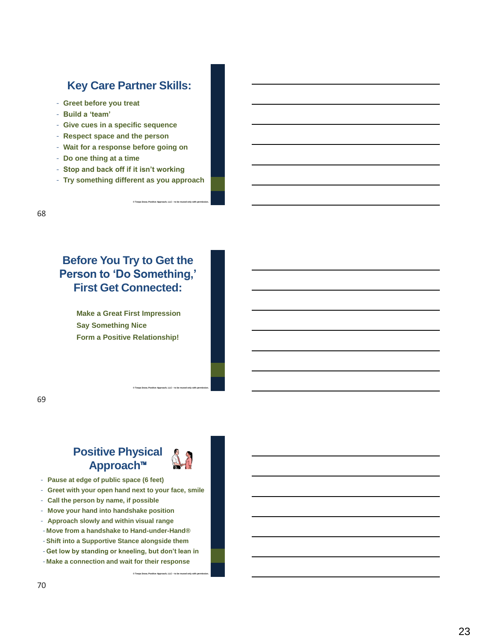### **Key Care Partner Skills:**

- **Greet before you treat**
- **Build a 'team'**
- **Give cues in a specific sequence**
- **Respect space and the person**
- **Wait for a response before going on**
- **Do one thing at a time**
- **Stop and back off if it isn't working**
- **Try something different as you approach**

**© Teepa Snow, Positive Approach, LLC – to be reused only with permission.**

# **Before You Try to Get the Person to 'Do Something,' First Get Connected:**

**Make a Great First Impression Say Something Nice Form a Positive Relationship!**

69

### **Positive Physical Approach**™



**© Teepa Snow, Positive Approach, LLC – to be reused only with permission.**

- **Pause at edge of public space (6 feet)**
- **Greet with your open hand next to your face, smile**
- **Call the person by name, if possible**
- **Move your hand into handshake position**
- **Approach slowly and within visual range**
- **Move from a handshake to Hand-under-Hand®**
- -**Shift into a Supportive Stance alongside them**
- **Get low by standing or kneeling, but don't lean in**

**© Teepa Snow, Positive Approach, LLC – to be reused only with permission.**

- **Make a connection and wait for their response**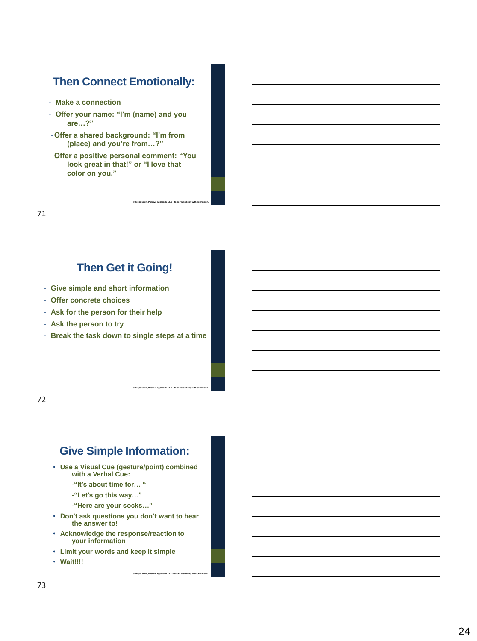# **Then Connect Emotionally:**

- **Make a connection**
- **Offer your name: "I'm (name) and you are…?"**
- -**Offer a shared background: "I'm from (place) and you're from…?"**
- -**Offer a positive personal comment: "You look great in that!" or "I love that color on you."**

**© Teepa Snow, Positive Approach, LLC – to be reused only with permission.**

**© Teepa Snow, Positive Approach, LLC – to be reused only with permission.**

71

# **Then Get it Going!**

- **Give simple and short information**
- **Offer concrete choices**
- **Ask for the person for their help**
- **Ask the person to try**
- **Break the task down to single steps at a time**

72

# **Give Simple Information:**

- **Use a Visual Cue (gesture/point) combined with a Verbal Cue:**
	- **-"It's about time for… "**
	- **-"Let's go this way…"**
	- **-"Here are your socks…"**
- **Don't ask questions you don't want to hear the answer to!**

- **Acknowledge the response/reaction to your information**
- **Limit your words and keep it simple**
- **Wait!!!!**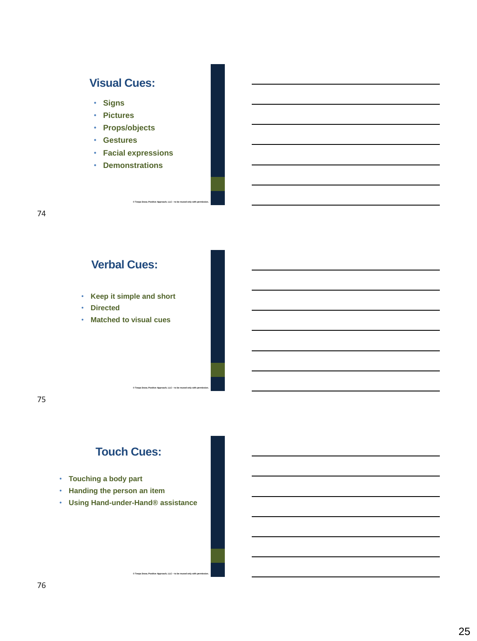# **Visual Cues:**

• **Signs**

- **Pictures**
- **Props/objects**
- **Gestures**
- **Facial expressions**

**© Teepa Snow, Positive Approach, LLC – to be reused only with permission.**

**© Teepa Snow, Positive Approach, LLC – to be reused only with permission.**

• **Demonstrations**

### **Verbal Cues:**

- **Keep it simple and short**
- **Directed**
- **Matched to visual cues**

75

# **Touch Cues:**

- **Touching a body part**
- **Handing the person an item**
- **Using Hand-under-Hand® assistance**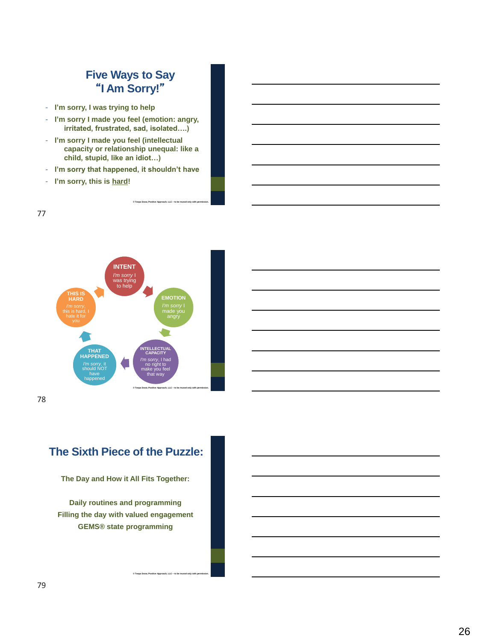# **Five Ways to Say**  "**I Am Sorry!**"

- **I'm sorry, I was trying to help**
- **I'm sorry I made you feel (emotion: angry, irritated, frustrated, sad, isolated….)**
- **I'm sorry I made you feel (intellectual capacity or relationship unequal: like a child, stupid, like an idiot…)**
- **I'm sorry that happened, it shouldn't have**

**© Teepa Snow, Positive Approach, LLC – to be reused only with permission.**

- **I'm sorry, this is hard!** 

77



78

# **The Sixth Piece of the Puzzle:**

**The Day and How it All Fits Together:**

**Daily routines and programming Filling the day with valued engagement GEMS® state programming**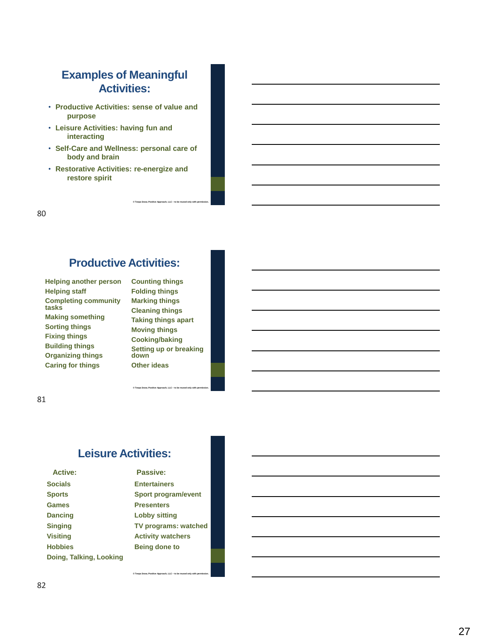### **Examples of Meaningful Activities:**

- **Productive Activities: sense of value and purpose**
- **Leisure Activities: having fun and interacting**
- **Self -Care and Wellness: personal care of body and brain**
- **Restorative Activities: re -energize and restore spirit**

80

# **Productive Activities:**

**Helping another person Helping staff Completing community tasks Making something Sorting things Fixing things Building things Organizing things Caring for things**

**Counting things Folding things Marking things Cleaning things Taking things apart Moving things Cooking/baking Setting up or breaking down Other ideas**

**© Teepa Snow, Positive Approach, LLC** 

**– to be reused only with permission.**

**© Teepa Snow, Positive Approach, LLC** 

**– to be reused only with permission.**

81

### **Leisure Activities:**

| <b>Active:</b>          | Passive:                    |
|-------------------------|-----------------------------|
| <b>Socials</b>          | <b>Entertainers</b>         |
| <b>Sports</b>           | Sport program/event         |
| <b>Games</b>            | <b>Presenters</b>           |
| <b>Dancing</b>          | <b>Lobby sitting</b>        |
| <b>Singing</b>          | <b>TV programs: watched</b> |
| Visiting                | <b>Activity watchers</b>    |
| <b>Hobbies</b>          | <b>Being done to</b>        |
| Doing, Talking, Looking |                             |

**© Teepa Snow, Positive Approach, LLC** 

**– to be reused only with permission.**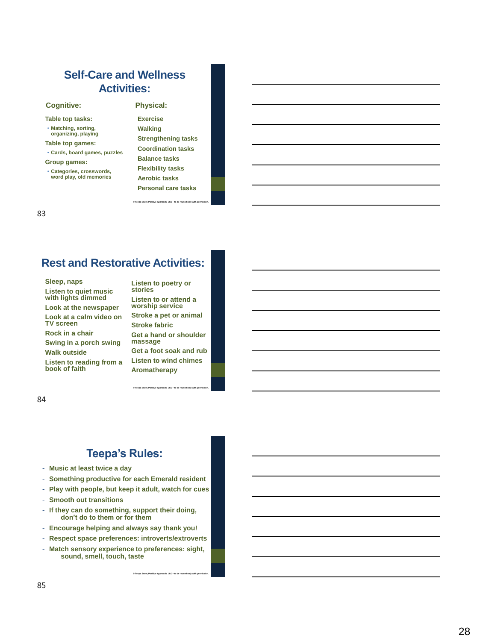### **Self -Care and Wellness Activities:**

#### **Cognitive: Physical:**

- **Table top tasks:**
- **Matching, sorting, organizing, playing**
- **Table top games:**
- **Cards, board games, puzzles**
- **Group games:**
- **Categories, crosswords, word play, old memories**

**Exercise Walking Strengthening tasks Coordination tasks Balance tasks Flexibility tasks Aerobic tasks Personal care tasks**

**– to be reused only with permission.**

**© Teepa Snow, Positive Approach, LLC** 

#### 83

# **Rest and Restorative Activities:**

**Sleep, naps Listen to quiet music with lights dimmed Look at the newspaper Look at a calm video on TV screen Rock in a chair Swing in a porch swing Walk outside Listen to reading from a book of faith**

**Listen to poetry or stories Listen to or attend a worship service Stroke a pet or animal Stroke fabric Get a hand or shoulder massage Get a foot soak and rub Listen to wind chimes Aromatherapy**

**– to be reused only with permission.**

**– to be reused only with permission.**

**© Teepa Snow, Positive Approach, LLC** 

#### 84

### **Teepa's Rules:**

- **Music at least twice a day**
- **Something productive for each Emerald resident**
- **Play with people, but keep it adult, watch for cues**
- **Smooth out transitions**
- **If they can do something, support their doing, don't do to them or for them**
- **Encourage helping and always say thank you!**
- **Respect space preferences: introverts/extroverts**
- **Match sensory experience to preferences: sight, sound, smell, touch, taste**

**© Teepa Snow, Positive Approach, LLC**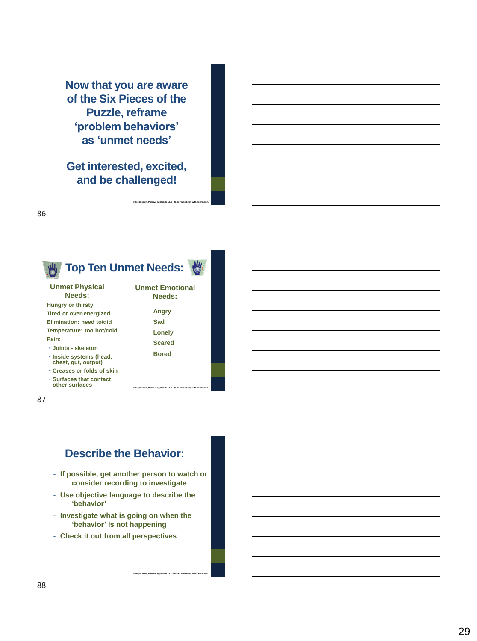**Now that you are aware of the Six Pieces of the Puzzle, reframe 'problem behaviors' as 'unmet needs'**

**Get interested, excited, and be challenged!**

**© Teepa Snow, Positive Approach, LLC** 

**– to be reused only with permission.**



87

86

### **Describe the Behavior:**

- **If possible, get another person to watch or consider recording to investigate**
- **Use objective language to describe the 'behavior'**
- **Investigate what is going on when the 'behavior' is not happening**

**© Teepa Snow, Positive Approach, LLC – to be reused only with permission.**

- **Check it out from all perspectives**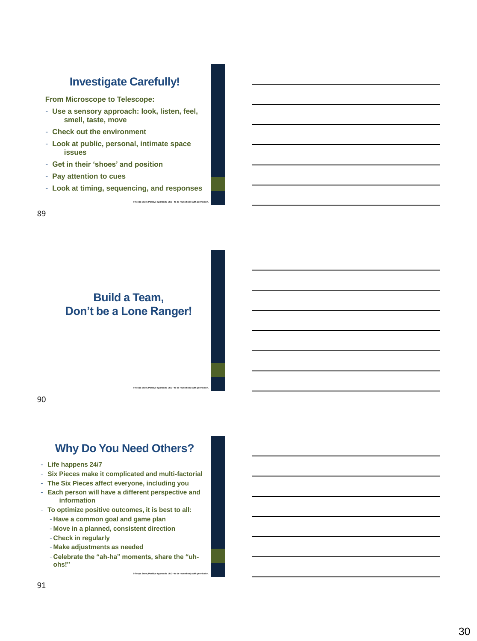# **Investigate Carefully!**

**From Microscope to Telescope:**

- **Use a sensory approach: look, listen, feel, smell, taste, move**
- **Check out the environment**
- **Look at public, personal, intimate space issues**
- **Get in their 'shoes' and position**
- **Pay attention to cues**
- **Look at timing, sequencing, and responses**

**© Teepa Snow, Positive Approach, LLC – to be reused only with permission.**

**© Teepa Snow, Positive Approach, LLC – to be reused only with permission.**

89

### **Build a Team, Don't be a Lone Ranger!**

90

### **Why Do You Need Others?**

- **Life happens 24/7**
- **Six Pieces make it complicated and multi-factorial**
- **The Six Pieces affect everyone, including you**
- **Each person will have a different perspective and information**
- **To optimize positive outcomes, it is best to all:**
	- **Have a common goal and game plan**
	- **Move in a planned, consistent direction**
	- **Check in regularly**
	- **Make adjustments as needed**
	- **Celebrate the "ah-ha" moments, share the "uhohs!"**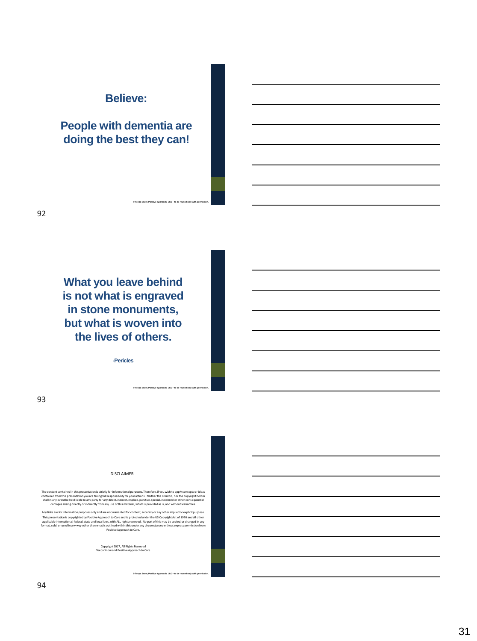### **Believe:**

# **People with dementia are doing the best they can!**

**© Teepa Snow, Positive Approach, LLC – to be reused only with permission.**

**What you leave behind is not what is engraved in stone monuments, but what is woven into the lives of others.**

**-Pericles**

**© Teepa Snow, Positive Approach, LLC – to be reused only with permission.**

**© Teepa Snow, Positive Approach, LLC – to be reused only with permission.**

93

DISCLAIMER

The content contained in this presentation is strictly for informational purposes. Therefore, if you wish to apply concepts or ideas<br>shall in any event the presentation you are taking full responsibility for your actions.

Any links are for information purposes only and are not warranted for content, accuracy or any other implied or explicit purpose. This presentation is copyrighted by Positive Approachto Care and is protected under the US Copyright Act of 1976 and all other<br>applicable international, federal, state and local laws, with ALL rights reserved. No part of t

Copyright 2017, All Rights Reserved Teepa Snow and Positive Approach to Care